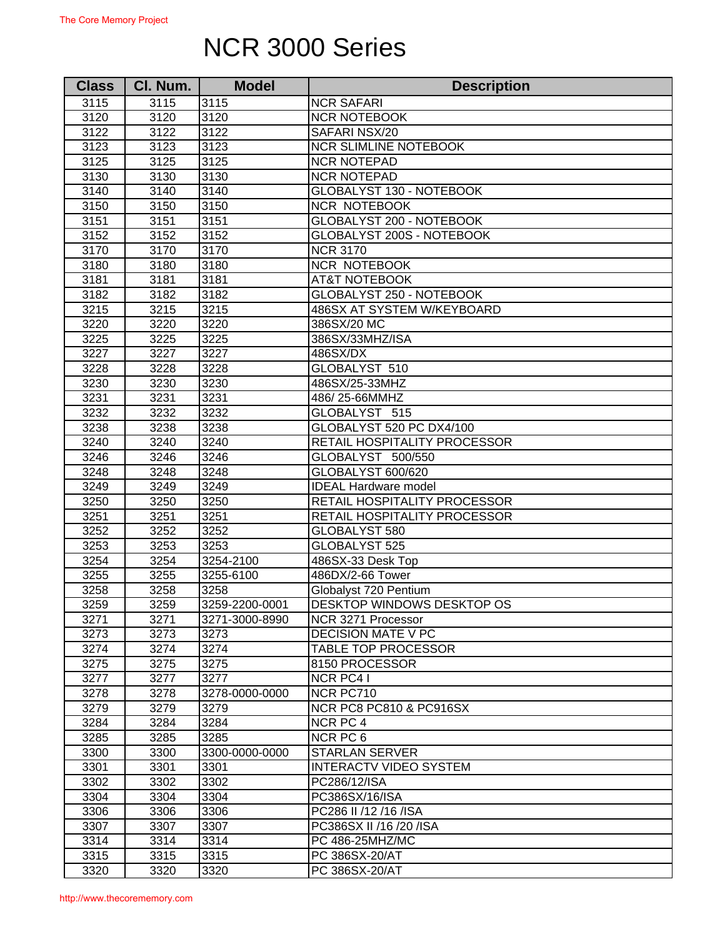## NCR 3000 Series

| <b>Class</b> | Cl. Num. | <b>Model</b>   | <b>Description</b>            |
|--------------|----------|----------------|-------------------------------|
| 3115         | 3115     | 3115           | <b>NCR SAFARI</b>             |
| 3120         | 3120     | 3120           | <b>NCR NOTEBOOK</b>           |
| 3122         | 3122     | 3122           | SAFARI NSX/20                 |
| 3123         | 3123     | 3123           | <b>NCR SLIMLINE NOTEBOOK</b>  |
| 3125         | 3125     | 3125           | <b>NCR NOTEPAD</b>            |
| 3130         | 3130     | 3130           | <b>NCR NOTEPAD</b>            |
| 3140         | 3140     | 3140           | GLOBALYST 130 - NOTEBOOK      |
| 3150         | 3150     | 3150           | <b>NCR NOTEBOOK</b>           |
| 3151         | 3151     | 3151           | GLOBALYST 200 - NOTEBOOK      |
| 3152         | 3152     | 3152           | GLOBALYST 200S - NOTEBOOK     |
| 3170         | 3170     | 3170           | <b>NCR 3170</b>               |
| 3180         | 3180     | 3180           | NCR NOTEBOOK                  |
| 3181         | 3181     | 3181           | <b>AT&amp;T NOTEBOOK</b>      |
| 3182         | 3182     | 3182           | GLOBALYST 250 - NOTEBOOK      |
| 3215         | 3215     | 3215           | 486SX AT SYSTEM W/KEYBOARD    |
| 3220         | 3220     | 3220           | 386SX/20 MC                   |
| 3225         | 3225     | 3225           | 386SX/33MHZ/ISA               |
| 3227         | 3227     | 3227           | 486SX/DX                      |
| 3228         | 3228     | 3228           | GLOBALYST 510                 |
| 3230         | 3230     | 3230           | 486SX/25-33MHZ                |
| 3231         | 3231     | 3231           | 486/25-66MMHZ                 |
| 3232         | 3232     | 3232           | GLOBALYST 515                 |
| 3238         | 3238     | 3238           | GLOBALYST 520 PC DX4/100      |
| 3240         | 3240     | 3240           | RETAIL HOSPITALITY PROCESSOR  |
| 3246         | 3246     | 3246           | GLOBALYST 500/550             |
| 3248         | 3248     | 3248           | GLOBALYST 600/620             |
| 3249         | 3249     | 3249           | <b>IDEAL Hardware model</b>   |
| 3250         | 3250     | 3250           | RETAIL HOSPITALITY PROCESSOR  |
| 3251         | 3251     | 3251           | RETAIL HOSPITALITY PROCESSOR  |
| 3252         | 3252     | 3252           | GLOBALYST 580                 |
| 3253         | 3253     | 3253           | GLOBALYST 525                 |
| 3254         | 3254     | 3254-2100      | 486SX-33 Desk Top             |
| 3255         | 3255     | 3255-6100      | 486DX/2-66 Tower              |
| 3258         | 3258     | 3258           | Globalyst 720 Pentium         |
| 3259         | 3259     | 3259-2200-0001 | DESKTOP WINDOWS DESKTOP OS    |
| 3271         | 3271     | 3271-3000-8990 | NCR 3271 Processor            |
| 3273         | 3273     | 3273           | <b>DECISION MATE V PC</b>     |
| 3274         | 3274     | 3274           | <b>TABLE TOP PROCESSOR</b>    |
| 3275         | 3275     | 3275           | 8150 PROCESSOR                |
| 3277         | 3277     | 3277           | <b>NCR PC41</b>               |
| 3278         | 3278     | 3278-0000-0000 | NCR PC710                     |
| 3279         | 3279     | 3279           | NCR PC8 PC810 & PC916SX       |
| 3284         | 3284     | 3284           | NCR PC 4                      |
| 3285         | 3285     | 3285           | NCR PC 6                      |
| 3300         | 3300     | 3300-0000-0000 | <b>STARLAN SERVER</b>         |
| 3301         | 3301     | 3301           | <b>INTERACTV VIDEO SYSTEM</b> |
| 3302         | 3302     | 3302           | PC286/12/ISA                  |
| 3304         | 3304     | 3304           | PC386SX/16/ISA                |
| 3306         | 3306     | 3306           | PC286 II /12 /16 /ISA         |
| 3307         | 3307     | 3307           | PC386SX II /16 /20 /ISA       |
| 3314         | 3314     | 3314           | PC 486-25MHZ/MC               |
| 3315         | 3315     | 3315           | PC 386SX-20/AT                |
| 3320         | 3320     | 3320           | PC 386SX-20/AT                |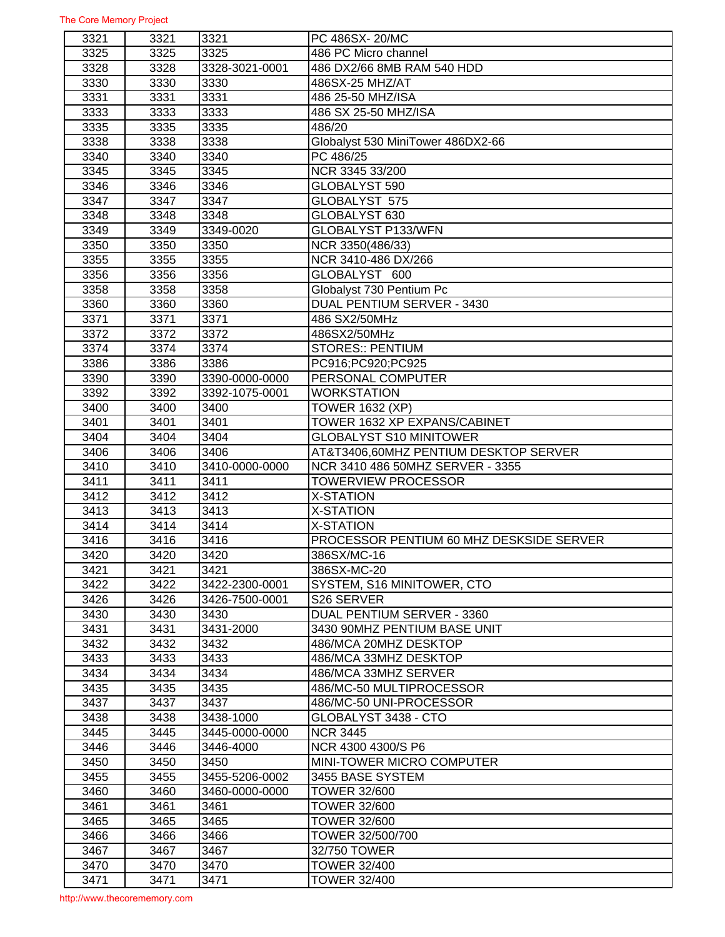| 3321         | 3321 | 3321           | PC 486SX-20/MC                           |
|--------------|------|----------------|------------------------------------------|
| 3325         | 3325 | 3325           | 486 PC Micro channel                     |
| 3328         | 3328 | 3328-3021-0001 | 486 DX2/66 8MB RAM 540 HDD               |
| 3330         | 3330 | 3330           | 486SX-25 MHZ/AT                          |
| 3331         | 3331 | 3331           | 486 25-50 MHZ/ISA                        |
| 3333         | 3333 | 3333           | 486 SX 25-50 MHZ/ISA                     |
| 3335         | 3335 | 3335           | 486/20                                   |
| 3338         | 3338 | 3338           | Globalyst 530 MiniTower 486DX2-66        |
| 3340         | 3340 | 3340           | PC 486/25                                |
| 3345         | 3345 | 3345           | NCR 3345 33/200                          |
| 3346         | 3346 | 3346           | GLOBALYST 590                            |
| 3347         | 3347 | 3347           | GLOBALYST 575                            |
| 3348         | 3348 | 3348           | GLOBALYST 630                            |
| 3349         | 3349 | 3349-0020      | GLOBALYST P133/WFN                       |
| 3350         | 3350 | 3350           | NCR 3350(486/33)                         |
| 3355         | 3355 | 3355           | NCR 3410-486 DX/266                      |
| 3356         | 3356 | 3356           | GLOBALYST 600                            |
| 3358         | 3358 | 3358           | Globalyst 730 Pentium Pc                 |
| 3360         | 3360 | 3360           | DUAL PENTIUM SERVER - 3430               |
| 3371         | 3371 | 3371           | 486 SX2/50MHz                            |
| 3372         | 3372 | 3372           | 486SX2/50MHz                             |
|              | 3374 | 3374           | <b>STORES:: PENTIUM</b>                  |
| 3374<br>3386 |      | 3386           |                                          |
|              | 3386 |                | PC916;PC920;PC925                        |
| 3390         | 3390 | 3390-0000-0000 | PERSONAL COMPUTER                        |
| 3392         | 3392 | 3392-1075-0001 | <b>WORKSTATION</b>                       |
| 3400         | 3400 | 3400           | <b>TOWER 1632 (XP)</b>                   |
| 3401         | 3401 | 3401           | TOWER 1632 XP EXPANS/CABINET             |
| 3404         | 3404 | 3404           | <b>GLOBALYST S10 MINITOWER</b>           |
| 3406         | 3406 | 3406           | AT&T3406,60MHZ PENTIUM DESKTOP SERVER    |
| 3410         | 3410 | 3410-0000-0000 | NCR 3410 486 50MHZ SERVER - 3355         |
| 3411         | 3411 | 3411           | <b>TOWERVIEW PROCESSOR</b>               |
| 3412         | 3412 | 3412           | <b>X-STATION</b>                         |
| 3413         | 3413 | 3413           | X-STATION                                |
| 3414         | 3414 | 3414           | X-STATION                                |
| 3416         | 3416 | 3416           | PROCESSOR PENTIUM 60 MHZ DESKSIDE SERVER |
| 3420         | 3420 | 3420           | 386SX/MC-16                              |
| 3421         | 3421 | 3421           | 386SX-MC-20                              |
| 3422         | 3422 | 3422-2300-0001 | SYSTEM, S16 MINITOWER, CTO               |
| 3426         | 3426 | 3426-7500-0001 | S26 SERVER                               |
| 3430         | 3430 | 3430           | DUAL PENTIUM SERVER - 3360               |
| 3431         | 3431 | 3431-2000      | 3430 90MHZ PENTIUM BASE UNIT             |
| 3432         | 3432 | 3432           | 486/MCA 20MHZ DESKTOP                    |
| 3433         | 3433 | 3433           | 486/MCA 33MHZ DESKTOP                    |
| 3434         | 3434 | 3434           | 486/MCA 33MHZ SERVER                     |
| 3435         | 3435 | 3435           | 486/MC-50 MULTIPROCESSOR                 |
| 3437         | 3437 | 3437           | 486/MC-50 UNI-PROCESSOR                  |
| 3438         | 3438 | 3438-1000      | GLOBALYST 3438 - CTO                     |
| 3445         | 3445 | 3445-0000-0000 | <b>NCR 3445</b>                          |
| 3446         | 3446 | 3446-4000      | NCR 4300 4300/S P6                       |
| 3450         | 3450 | 3450           | <b>MINI-TOWER MICRO COMPUTER</b>         |
| 3455         | 3455 | 3455-5206-0002 | 3455 BASE SYSTEM                         |
| 3460         | 3460 | 3460-0000-0000 | <b>TOWER 32/600</b>                      |
| 3461         | 3461 | 3461           | <b>TOWER 32/600</b>                      |
| 3465         | 3465 | 3465           | <b>TOWER 32/600</b>                      |
| 3466         | 3466 | 3466           | TOWER 32/500/700                         |
| 3467         | 3467 | 3467           | 32/750 TOWER                             |
| 3470         | 3470 | 3470           | <b>TOWER 32/400</b>                      |
| 3471         | 3471 | 3471           | <b>TOWER 32/400</b>                      |